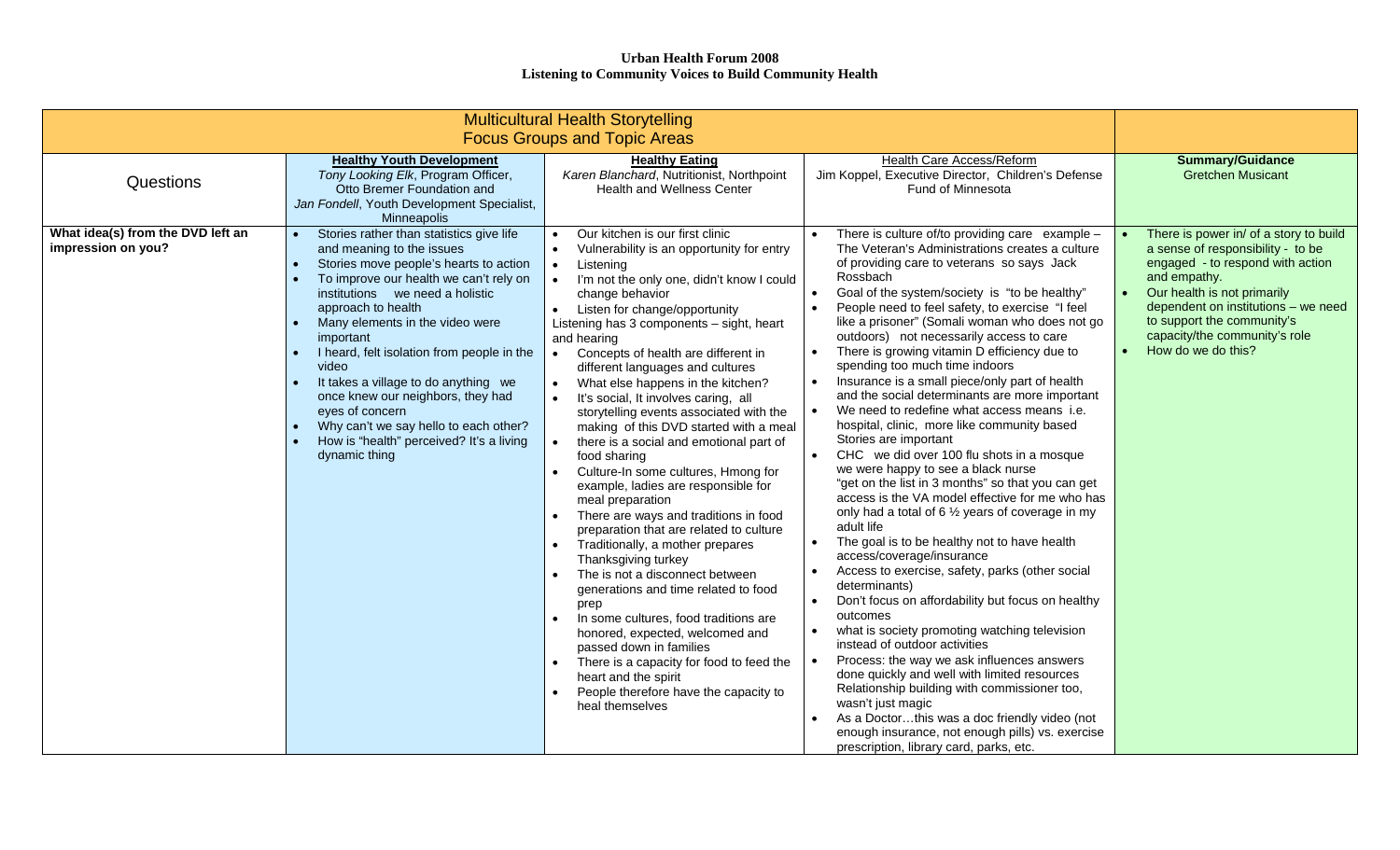| <b>Multicultural Health Storytelling</b><br><b>Focus Groups and Topic Areas</b> |                                                                                                                                                                                                                                                                                                                                                                                                                                                                                                                                                                        |                                                                                                                                                                                                                                                                                                                                                                                                                                                                                                                                                                                                                                                                                                                                                                                                                                                                                                                                                                                                                                                                                                                                                                                                                                                                |                                                                                                                                                                                                                                                                                                                                                                                                                                                                                                                                                                                                                                                                                                                                                                                                                                                                                                                                                                                                                                                                                                                                                                                                                                                                                                                                                                                                                                                                                                                                                                 |                                                                                                                                                                                                                                                                                            |
|---------------------------------------------------------------------------------|------------------------------------------------------------------------------------------------------------------------------------------------------------------------------------------------------------------------------------------------------------------------------------------------------------------------------------------------------------------------------------------------------------------------------------------------------------------------------------------------------------------------------------------------------------------------|----------------------------------------------------------------------------------------------------------------------------------------------------------------------------------------------------------------------------------------------------------------------------------------------------------------------------------------------------------------------------------------------------------------------------------------------------------------------------------------------------------------------------------------------------------------------------------------------------------------------------------------------------------------------------------------------------------------------------------------------------------------------------------------------------------------------------------------------------------------------------------------------------------------------------------------------------------------------------------------------------------------------------------------------------------------------------------------------------------------------------------------------------------------------------------------------------------------------------------------------------------------|-----------------------------------------------------------------------------------------------------------------------------------------------------------------------------------------------------------------------------------------------------------------------------------------------------------------------------------------------------------------------------------------------------------------------------------------------------------------------------------------------------------------------------------------------------------------------------------------------------------------------------------------------------------------------------------------------------------------------------------------------------------------------------------------------------------------------------------------------------------------------------------------------------------------------------------------------------------------------------------------------------------------------------------------------------------------------------------------------------------------------------------------------------------------------------------------------------------------------------------------------------------------------------------------------------------------------------------------------------------------------------------------------------------------------------------------------------------------------------------------------------------------------------------------------------------------|--------------------------------------------------------------------------------------------------------------------------------------------------------------------------------------------------------------------------------------------------------------------------------------------|
| Questions                                                                       | <b>Healthy Youth Development</b><br>Tony Looking Elk, Program Officer,<br>Otto Bremer Foundation and<br>Jan Fondell, Youth Development Specialist,<br>Minneapolis                                                                                                                                                                                                                                                                                                                                                                                                      | <b>Healthy Eating</b><br>Karen Blanchard, Nutritionist, Northpoint<br><b>Health and Wellness Center</b>                                                                                                                                                                                                                                                                                                                                                                                                                                                                                                                                                                                                                                                                                                                                                                                                                                                                                                                                                                                                                                                                                                                                                        | Health Care Access/Reform<br>Jim Koppel, Executive Director, Children's Defense<br><b>Fund of Minnesota</b>                                                                                                                                                                                                                                                                                                                                                                                                                                                                                                                                                                                                                                                                                                                                                                                                                                                                                                                                                                                                                                                                                                                                                                                                                                                                                                                                                                                                                                                     | <b>Summary/Guidance</b><br><b>Gretchen Musicant</b>                                                                                                                                                                                                                                        |
| What idea(s) from the DVD left an<br>impression on you?                         | Stories rather than statistics give life<br>$\bullet$<br>and meaning to the issues<br>Stories move people's hearts to action<br>$\bullet$<br>To improve our health we can't rely on<br>institutions we need a holistic<br>approach to health<br>Many elements in the video were<br>important<br>I heard, felt isolation from people in the<br>video<br>It takes a village to do anything we<br>once knew our neighbors, they had<br>eyes of concern<br>Why can't we say hello to each other?<br>$\bullet$<br>How is "health" perceived? It's a living<br>dynamic thing | Our kitchen is our first clinic<br>Vulnerability is an opportunity for entry<br>$\bullet$<br>Listening<br>$\bullet$<br>$\bullet$<br>I'm not the only one, didn't know I could<br>change behavior<br>Listen for change/opportunity<br>$\bullet$<br>Listening has 3 components - sight, heart<br>and hearing<br>Concepts of health are different in<br>$\bullet$<br>different languages and cultures<br>What else happens in the kitchen?<br>$\bullet$<br>It's social, It involves caring, all<br>$\bullet$<br>storytelling events associated with the<br>making of this DVD started with a meal<br>there is a social and emotional part of<br>food sharing<br>Culture-In some cultures, Hmong for<br>example, ladies are responsible for<br>meal preparation<br>There are ways and traditions in food<br>preparation that are related to culture<br>Traditionally, a mother prepares<br>$\bullet$<br>Thanksgiving turkey<br>The is not a disconnect between<br>generations and time related to food<br>prep<br>In some cultures, food traditions are<br>$\bullet$<br>honored, expected, welcomed and<br>passed down in families<br>There is a capacity for food to feed the<br>heart and the spirit<br>People therefore have the capacity to<br>heal themselves | There is culture of/to providing care example -<br>The Veteran's Administrations creates a culture<br>of providing care to veterans so says Jack<br>Rossbach<br>Goal of the system/society is "to be healthy"<br>People need to feel safety, to exercise "I feel<br>like a prisoner" (Somali woman who does not go<br>outdoors) not necessarily access to care<br>There is growing vitamin D efficiency due to<br>spending too much time indoors<br>Insurance is a small piece/only part of health<br>and the social determinants are more important<br>We need to redefine what access means i.e.<br>hospital, clinic, more like community based<br>Stories are important<br>CHC we did over 100 flu shots in a mosque<br>we were happy to see a black nurse<br>"get on the list in 3 months" so that you can get<br>access is the VA model effective for me who has<br>only had a total of 6 1/2 years of coverage in my<br>adult life<br>The goal is to be healthy not to have health<br>access/coverage/insurance<br>Access to exercise, safety, parks (other social<br>determinants)<br>Don't focus on affordability but focus on healthy<br>outcomes<br>what is society promoting watching television<br>instead of outdoor activities<br>Process: the way we ask influences answers<br>done quickly and well with limited resources<br>Relationship building with commissioner too,<br>wasn't just magic<br>As a Doctorthis was a doc friendly video (not<br>enough insurance, not enough pills) vs. exercise<br>prescription, library card, parks, etc. | There is power in/ of a story to build<br>a sense of responsibility - to be<br>engaged - to respond with action<br>and empathy.<br>Our health is not primarily<br>dependent on institutions - we need<br>to support the community's<br>capacity/the community's role<br>How do we do this? |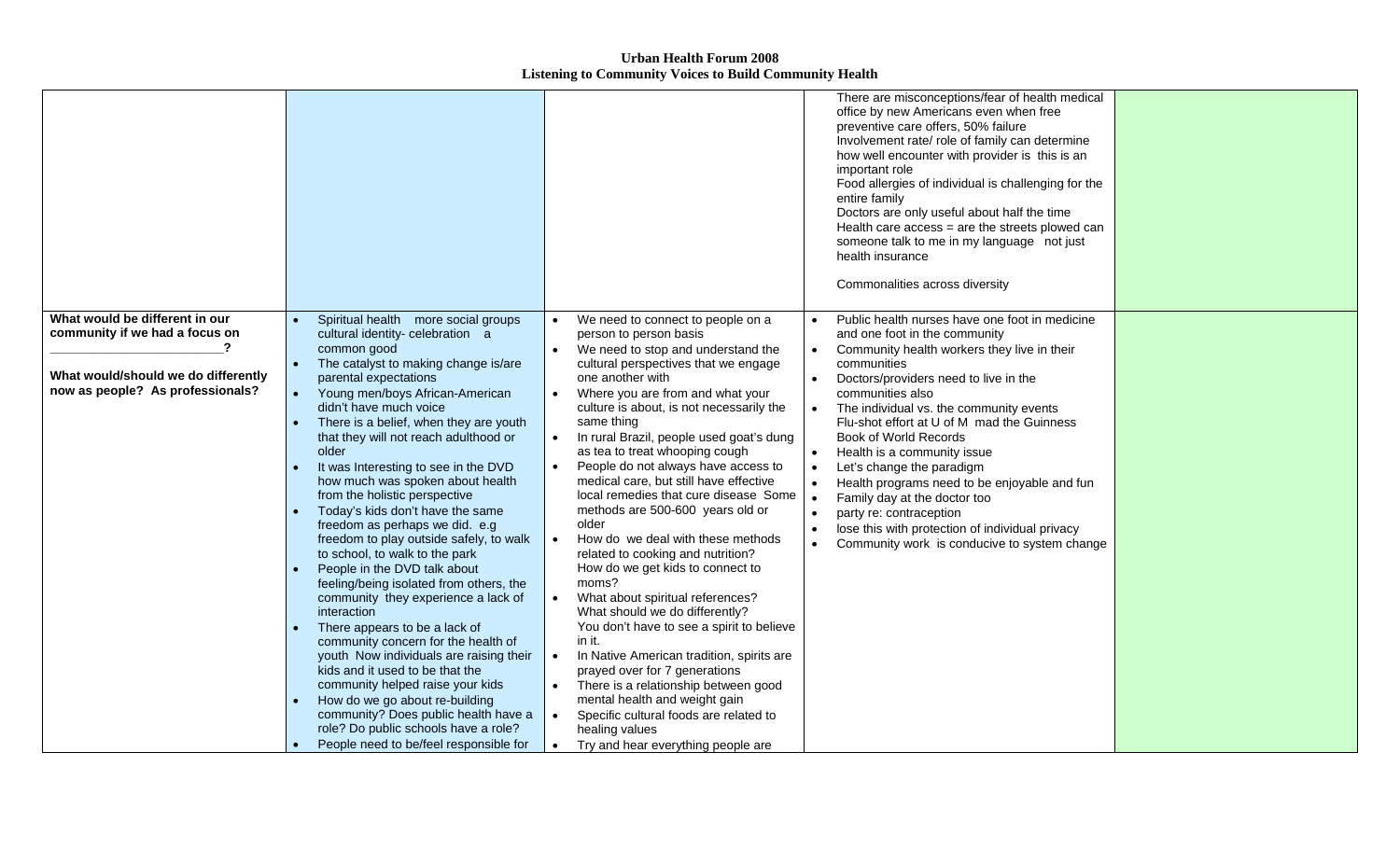|                                                                                                                                             |                                                                                                                                                                                                                                                                                                                                                                                                                                                                                                                                                                                                                                                                                                                                                                                                                                                                                                                                                                                                                                                                         |                                                                                                                                                                                                                                                                                                                                                                                                                                                                                                                                                                                                                                                                                                                                                                                                                                                                                                                                                                                                                                                         | There are misconceptions/fear of health medical<br>office by new Americans even when free<br>preventive care offers, 50% failure<br>Involvement rate/ role of family can determine<br>how well encounter with provider is this is an<br>important role<br>Food allergies of individual is challenging for the<br>entire family<br>Doctors are only useful about half the time<br>Health care access = are the streets plowed can<br>someone talk to me in my language not just<br>health insurance<br>Commonalities across diversity                                                                   |  |
|---------------------------------------------------------------------------------------------------------------------------------------------|-------------------------------------------------------------------------------------------------------------------------------------------------------------------------------------------------------------------------------------------------------------------------------------------------------------------------------------------------------------------------------------------------------------------------------------------------------------------------------------------------------------------------------------------------------------------------------------------------------------------------------------------------------------------------------------------------------------------------------------------------------------------------------------------------------------------------------------------------------------------------------------------------------------------------------------------------------------------------------------------------------------------------------------------------------------------------|---------------------------------------------------------------------------------------------------------------------------------------------------------------------------------------------------------------------------------------------------------------------------------------------------------------------------------------------------------------------------------------------------------------------------------------------------------------------------------------------------------------------------------------------------------------------------------------------------------------------------------------------------------------------------------------------------------------------------------------------------------------------------------------------------------------------------------------------------------------------------------------------------------------------------------------------------------------------------------------------------------------------------------------------------------|--------------------------------------------------------------------------------------------------------------------------------------------------------------------------------------------------------------------------------------------------------------------------------------------------------------------------------------------------------------------------------------------------------------------------------------------------------------------------------------------------------------------------------------------------------------------------------------------------------|--|
| What would be different in our<br>community if we had a focus on<br>What would/should we do differently<br>now as people? As professionals? | Spiritual health more social groups<br>cultural identity- celebration a<br>common good<br>The catalyst to making change is/are<br>parental expectations<br>Young men/boys African-American<br>didn't have much voice<br>There is a belief, when they are youth<br>that they will not reach adulthood or<br>older<br>It was Interesting to see in the DVD<br>how much was spoken about health<br>from the holistic perspective<br>Today's kids don't have the same<br>freedom as perhaps we did. e.g<br>freedom to play outside safely, to walk<br>to school, to walk to the park<br>People in the DVD talk about<br>feeling/being isolated from others, the<br>community they experience a lack of<br>interaction<br>There appears to be a lack of<br>community concern for the health of<br>youth Now individuals are raising their<br>kids and it used to be that the<br>community helped raise your kids<br>How do we go about re-building<br>community? Does public health have a<br>role? Do public schools have a role?<br>People need to be/feel responsible for | We need to connect to people on a<br>person to person basis<br>We need to stop and understand the<br>$\bullet$<br>cultural perspectives that we engage<br>one another with<br>Where you are from and what your<br>culture is about, is not necessarily the<br>same thing<br>In rural Brazil, people used goat's dung<br>as tea to treat whooping cough<br>People do not always have access to<br>medical care, but still have effective<br>local remedies that cure disease Some<br>methods are 500-600 years old or<br>older<br>How do we deal with these methods<br>related to cooking and nutrition?<br>How do we get kids to connect to<br>moms?<br>What about spiritual references?<br>What should we do differently?<br>You don't have to see a spirit to believe<br>in it.<br>In Native American tradition, spirits are<br>prayed over for 7 generations<br>There is a relationship between good<br>mental health and weight gain<br>Specific cultural foods are related to<br>$\bullet$<br>healing values<br>Try and hear everything people are | Public health nurses have one foot in medicine<br>and one foot in the community<br>Community health workers they live in their<br>communities<br>Doctors/providers need to live in the<br>communities also<br>The individual vs. the community events<br>Flu-shot effort at U of M mad the Guinness<br>Book of World Records<br>Health is a community issue<br>Let's change the paradigm<br>Health programs need to be enjoyable and fun<br>Family day at the doctor too<br>party re: contraception<br>lose this with protection of individual privacy<br>Community work is conducive to system change |  |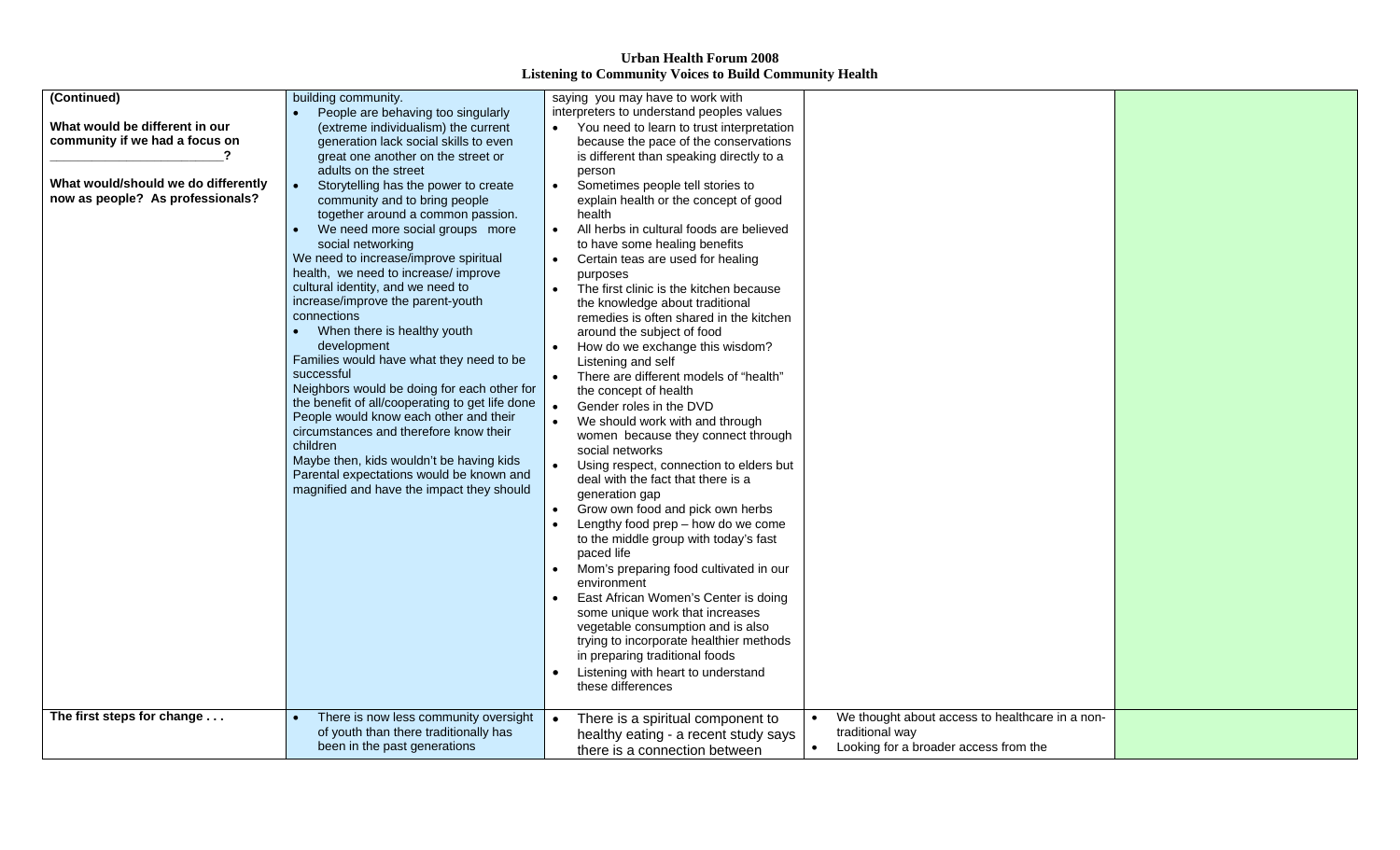| (Continued)                         | building community.                               | saying you may have to work with                                                     |
|-------------------------------------|---------------------------------------------------|--------------------------------------------------------------------------------------|
|                                     | People are behaving too singularly                | interpreters to understand peoples values                                            |
| What would be different in our      |                                                   | You need to learn to trust interpretation<br>$\bullet$                               |
| community if we had a focus on      | (extreme individualism) the current               |                                                                                      |
|                                     | generation lack social skills to even             | because the pace of the conservations                                                |
|                                     | great one another on the street or                | is different than speaking directly to a                                             |
|                                     | adults on the street                              | person                                                                               |
| What would/should we do differently | $\bullet$<br>Storytelling has the power to create | Sometimes people tell stories to<br>$\bullet$                                        |
| now as people? As professionals?    | community and to bring people                     | explain health or the concept of good                                                |
|                                     | together around a common passion.                 | health                                                                               |
|                                     | We need more social groups more<br>$\bullet$      | All herbs in cultural foods are believed                                             |
|                                     | social networking                                 | to have some healing benefits                                                        |
|                                     | We need to increase/improve spiritual             | Certain teas are used for healing                                                    |
|                                     | health, we need to increase/ improve              | purposes                                                                             |
|                                     | cultural identity, and we need to                 | The first clinic is the kitchen because                                              |
|                                     | increase/improve the parent-youth                 | the knowledge about traditional                                                      |
|                                     | connections                                       | remedies is often shared in the kitchen                                              |
|                                     | When there is healthy youth<br>$\bullet$          | around the subject of food                                                           |
|                                     | development                                       | How do we exchange this wisdom?                                                      |
|                                     | Families would have what they need to be          | Listening and self                                                                   |
|                                     | successful                                        | There are different models of "health"                                               |
|                                     | Neighbors would be doing for each other for       | the concept of health                                                                |
|                                     | the benefit of all/cooperating to get life done   | Gender roles in the DVD                                                              |
|                                     | People would know each other and their            | We should work with and through                                                      |
|                                     | circumstances and therefore know their            | women because they connect through                                                   |
|                                     | children                                          | social networks                                                                      |
|                                     | Maybe then, kids wouldn't be having kids          | Using respect, connection to elders but                                              |
|                                     | Parental expectations would be known and          | deal with the fact that there is a                                                   |
|                                     | magnified and have the impact they should         | generation gap                                                                       |
|                                     |                                                   | Grow own food and pick own herbs                                                     |
|                                     |                                                   | Lengthy food prep - how do we come                                                   |
|                                     |                                                   | to the middle group with today's fast                                                |
|                                     |                                                   | paced life                                                                           |
|                                     |                                                   | Mom's preparing food cultivated in our                                               |
|                                     |                                                   | environment                                                                          |
|                                     |                                                   | East African Women's Center is doing                                                 |
|                                     |                                                   |                                                                                      |
|                                     |                                                   | some unique work that increases                                                      |
|                                     |                                                   | vegetable consumption and is also                                                    |
|                                     |                                                   | trying to incorporate healthier methods                                              |
|                                     |                                                   | in preparing traditional foods                                                       |
|                                     |                                                   | Listening with heart to understand                                                   |
|                                     |                                                   | these differences                                                                    |
|                                     |                                                   |                                                                                      |
| The first steps for change          | There is now less community oversight             | We thought about access to healthcare in a non-<br>There is a spiritual component to |
|                                     | of youth than there traditionally has             | traditional way<br>healthy eating - a recent study says                              |
|                                     | been in the past generations                      | Looking for a broader access from the<br>there is a connection between               |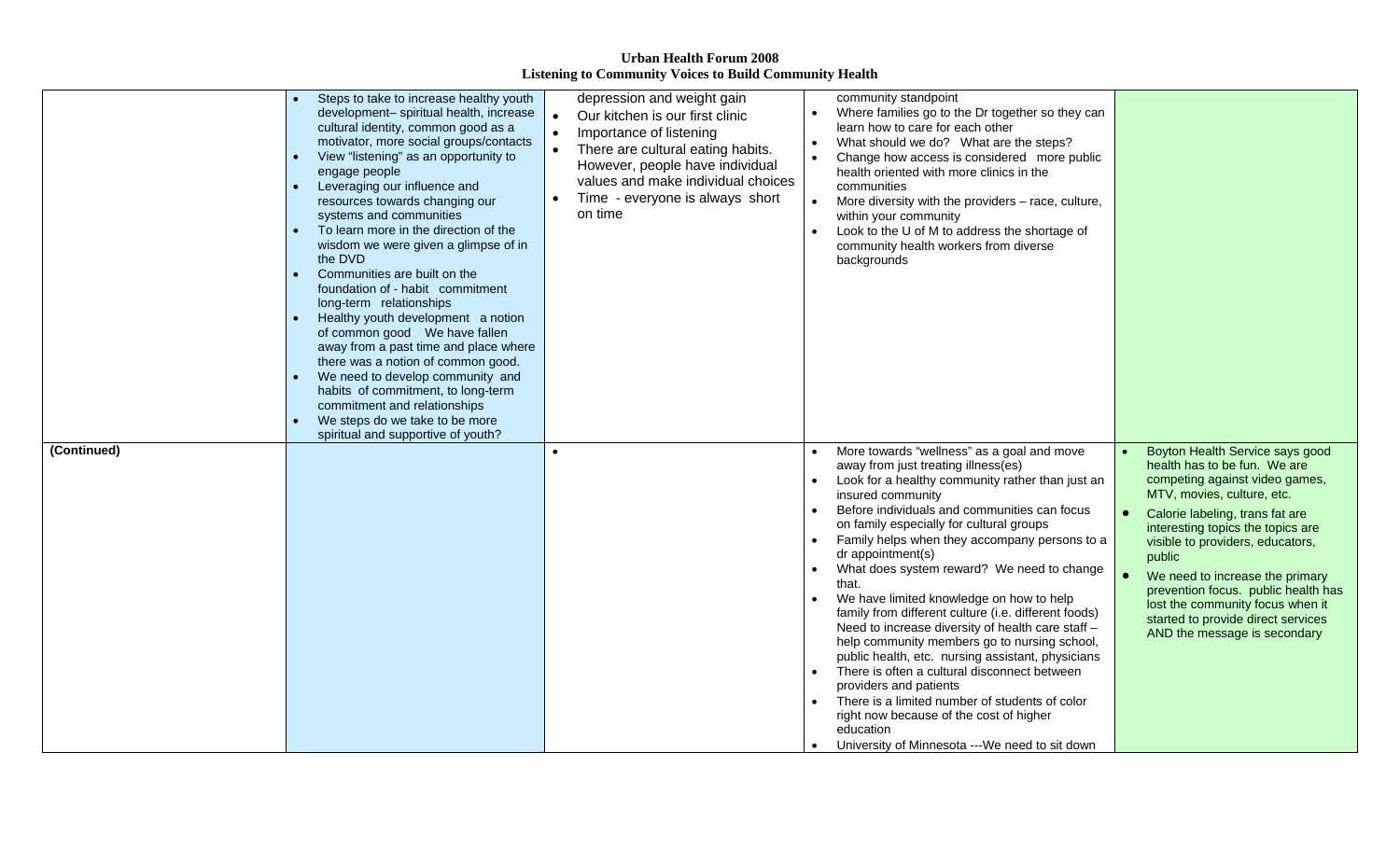|             | Steps to take to increase healthy youth<br>development- spiritual health, increase<br>cultural identity, common good as a<br>motivator, more social groups/contacts<br>View "listening" as an opportunity to<br>$\bullet$<br>engage people<br>Leveraging our influence and<br>$\bullet$<br>resources towards changing our<br>systems and communities<br>To learn more in the direction of the<br>wisdom we were given a glimpse of in<br>the DVD<br>Communities are built on the<br>$\bullet$<br>foundation of - habit commitment<br>long-term relationships<br>Healthy youth development a notion<br>$\bullet$<br>away from a past time and place where<br>there was a notion of common good.<br>We need to develop community and<br>$\bullet$<br>habits of commitment, to long-term<br>commitment and relationships<br>We steps do we take to be more | depression and weight gain<br>Our kitchen is our first clinic<br>Importance of listening<br>There are cultural eating habits.<br>However, people have individual<br>values and make individual choices<br>Time - everyone is always short<br>on time | community standpoint<br>Where families go to the Dr together so they can<br>learn how to care for each other<br>What should we do? What are the steps?<br>Change how access is considered more public<br>health oriented with more clinics in the<br>communities<br>More diversity with the providers - race, culture,<br>within your community<br>Look to the U of M to address the shortage of<br>community health workers from diverse<br>backgrounds                                                                                                                                                                                                                                                                                                                                                                                                                                |                                                                                                                                                                                                                                                                                                                                                                                                                                           |
|-------------|---------------------------------------------------------------------------------------------------------------------------------------------------------------------------------------------------------------------------------------------------------------------------------------------------------------------------------------------------------------------------------------------------------------------------------------------------------------------------------------------------------------------------------------------------------------------------------------------------------------------------------------------------------------------------------------------------------------------------------------------------------------------------------------------------------------------------------------------------------|------------------------------------------------------------------------------------------------------------------------------------------------------------------------------------------------------------------------------------------------------|-----------------------------------------------------------------------------------------------------------------------------------------------------------------------------------------------------------------------------------------------------------------------------------------------------------------------------------------------------------------------------------------------------------------------------------------------------------------------------------------------------------------------------------------------------------------------------------------------------------------------------------------------------------------------------------------------------------------------------------------------------------------------------------------------------------------------------------------------------------------------------------------|-------------------------------------------------------------------------------------------------------------------------------------------------------------------------------------------------------------------------------------------------------------------------------------------------------------------------------------------------------------------------------------------------------------------------------------------|
| (Continued) | spiritual and supportive of youth?                                                                                                                                                                                                                                                                                                                                                                                                                                                                                                                                                                                                                                                                                                                                                                                                                      |                                                                                                                                                                                                                                                      | More towards "wellness" as a goal and move<br>away from just treating illness(es)<br>Look for a healthy community rather than just an<br>insured community<br>Before individuals and communities can focus<br>on family especially for cultural groups<br>Family helps when they accompany persons to a<br>dr appointment(s)<br>What does system reward? We need to change<br>that.<br>We have limited knowledge on how to help<br>family from different culture (i.e. different foods)<br>Need to increase diversity of health care staff -<br>help community members go to nursing school,<br>public health, etc. nursing assistant, physicians<br>There is often a cultural disconnect between<br>providers and patients<br>There is a limited number of students of color<br>right now because of the cost of higher<br>education<br>University of Minnesota ---We need to sit down | Boyton Health Service says good<br>health has to be fun. We are<br>competing against video games,<br>MTV, movies, culture, etc.<br>Calorie labeling, trans fat are<br>interesting topics the topics are<br>visible to providers, educators,<br>public<br>We need to increase the primary<br>prevention focus. public health has<br>lost the community focus when it<br>started to provide direct services<br>AND the message is secondary |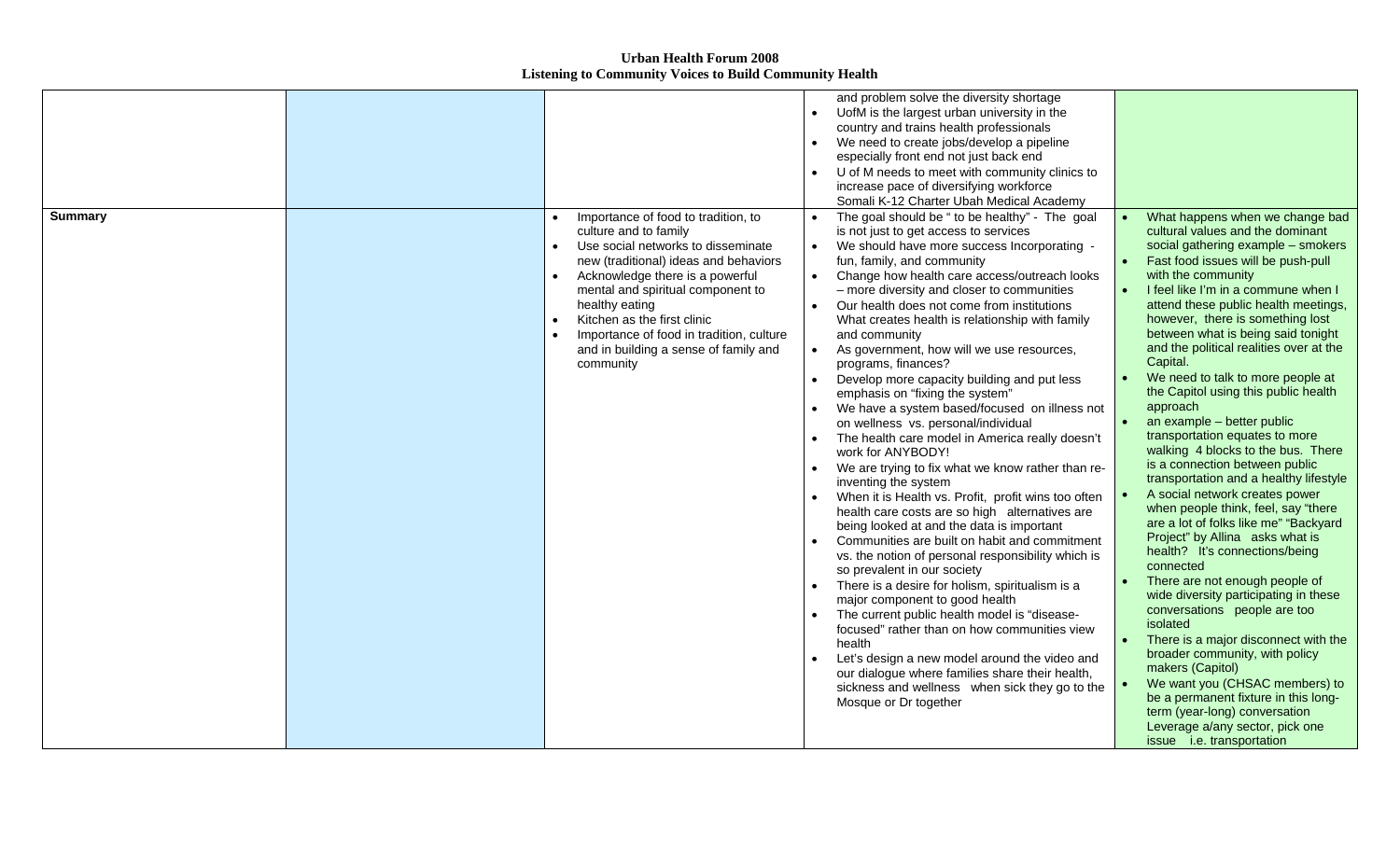|                |                                                                                                                                                                                                                                                                                                                                                                        | and problem solve the diversity shortage<br>UofM is the largest urban university in the<br>country and trains health professionals                                                                                                                                                                                                                                                                                                                                                                                                                                                                                                                                                                                                                                                                                                                                                                                                                                                                                                                                                                                                                                                                                                                                                                                                                                                                                                                                                                                                 |                                                                                                                                                                                                                                                                                                                                                                                                                                                                                                                                                                                                                                                                                                                                                                                                                                                                                                                                                                                                                                                                                                                                                                                                                                                                                          |
|----------------|------------------------------------------------------------------------------------------------------------------------------------------------------------------------------------------------------------------------------------------------------------------------------------------------------------------------------------------------------------------------|------------------------------------------------------------------------------------------------------------------------------------------------------------------------------------------------------------------------------------------------------------------------------------------------------------------------------------------------------------------------------------------------------------------------------------------------------------------------------------------------------------------------------------------------------------------------------------------------------------------------------------------------------------------------------------------------------------------------------------------------------------------------------------------------------------------------------------------------------------------------------------------------------------------------------------------------------------------------------------------------------------------------------------------------------------------------------------------------------------------------------------------------------------------------------------------------------------------------------------------------------------------------------------------------------------------------------------------------------------------------------------------------------------------------------------------------------------------------------------------------------------------------------------|------------------------------------------------------------------------------------------------------------------------------------------------------------------------------------------------------------------------------------------------------------------------------------------------------------------------------------------------------------------------------------------------------------------------------------------------------------------------------------------------------------------------------------------------------------------------------------------------------------------------------------------------------------------------------------------------------------------------------------------------------------------------------------------------------------------------------------------------------------------------------------------------------------------------------------------------------------------------------------------------------------------------------------------------------------------------------------------------------------------------------------------------------------------------------------------------------------------------------------------------------------------------------------------|
|                |                                                                                                                                                                                                                                                                                                                                                                        | We need to create jobs/develop a pipeline<br>especially front end not just back end<br>U of M needs to meet with community clinics to<br>increase pace of diversifying workforce<br>Somali K-12 Charter Ubah Medical Academy                                                                                                                                                                                                                                                                                                                                                                                                                                                                                                                                                                                                                                                                                                                                                                                                                                                                                                                                                                                                                                                                                                                                                                                                                                                                                                       |                                                                                                                                                                                                                                                                                                                                                                                                                                                                                                                                                                                                                                                                                                                                                                                                                                                                                                                                                                                                                                                                                                                                                                                                                                                                                          |
| <b>Summary</b> | Importance of food to tradition, to<br>culture and to family<br>Use social networks to disseminate<br>new (traditional) ideas and behaviors<br>Acknowledge there is a powerful<br>mental and spiritual component to<br>healthy eating<br>Kitchen as the first clinic<br>Importance of food in tradition, culture<br>and in building a sense of family and<br>community | The goal should be " to be healthy" - The goal<br>$\bullet$<br>is not just to get access to services<br>We should have more success Incorporating -<br>$\bullet$<br>fun, family, and community<br>Change how health care access/outreach looks<br>- more diversity and closer to communities<br>Our health does not come from institutions<br>What creates health is relationship with family<br>and community<br>As government, how will we use resources,<br>$\bullet$<br>programs, finances?<br>Develop more capacity building and put less<br>$\bullet$<br>emphasis on "fixing the system"<br>We have a system based/focused on illness not<br>on wellness vs. personal/individual<br>The health care model in America really doesn't<br>$\bullet$<br>work for ANYBODY!<br>We are trying to fix what we know rather than re-<br>inventing the system<br>When it is Health vs. Profit, profit wins too often<br>health care costs are so high alternatives are<br>being looked at and the data is important<br>Communities are built on habit and commitment<br>vs. the notion of personal responsibility which is<br>so prevalent in our society<br>There is a desire for holism, spiritualism is a<br>major component to good health<br>The current public health model is "disease-<br>focused" rather than on how communities view<br>health<br>Let's design a new model around the video and<br>our dialogue where families share their health,<br>sickness and wellness when sick they go to the<br>Mosque or Dr together | What happens when we change bad<br>cultural values and the dominant<br>social gathering example - smokers<br>Fast food issues will be push-pull<br>with the community<br>I feel like I'm in a commune when I<br>attend these public health meetings,<br>however, there is something lost<br>between what is being said tonight<br>and the political realities over at the<br>Capital.<br>We need to talk to more people at<br>the Capitol using this public health<br>approach<br>an example - better public<br>$\bullet$<br>transportation equates to more<br>walking 4 blocks to the bus. There<br>is a connection between public<br>transportation and a healthy lifestyle<br>A social network creates power<br>when people think, feel, say "there<br>are a lot of folks like me" "Backyard<br>Project" by Allina asks what is<br>health? It's connections/being<br>connected<br>There are not enough people of<br>wide diversity participating in these<br>conversations people are too<br>isolated<br>There is a major disconnect with the<br>broader community, with policy<br>makers (Capitol)<br>We want you (CHSAC members) to<br>be a permanent fixture in this long-<br>term (year-long) conversation<br>Leverage a/any sector, pick one<br>issue <i>i.e.</i> transportation |